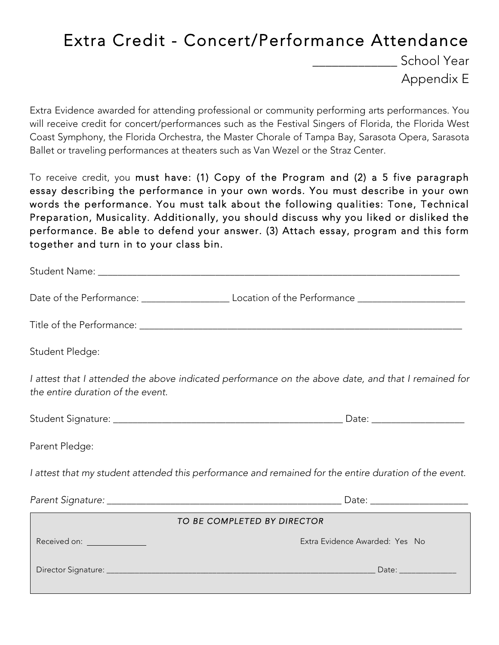## Extra Credit - Concert/Performance Attendance

School Year Appendix E

Extra Evidence awarded for attending professional or community performing arts performances. You will receive credit for concert/performances such as the Festival Singers of Florida, the Florida West Coast Symphony, the Florida Orchestra, the Master Chorale of Tampa Bay, Sarasota Opera, Sarasota Ballet or traveling performances at theaters such as Van Wezel or the Straz Center.

To receive credit, you must have: (1) Copy of the Program and (2) a 5 five paragraph essay describing the performance in your own words. You must describe in your own words the performance. You must talk about the following qualities: Tone, Technical Preparation, Musicality. Additionally, you should discuss why you liked or disliked the performance. Be able to defend your answer. (3) Attach essay, program and this form together and turn in to your class bin.

Student Name: which is a set of the set of the set of the set of the set of the set of the set of the set of the set of the set of the set of the set of the set of the set of the set of the set of the set of the set of the

Date of the Performance:  $\Box$  Location of the Performance

Title of the Performance:  $\blacksquare$ 

Student Pledge:

*I attest that I attended the above indicated performance on the above date, and that I remained for the entire duration of the event.* 

| Student Signature: |  |
|--------------------|--|
|                    |  |

Parent Pledge:

*I attest that my student attended this performance and remained for the entire duration of the event.* 

*Parent Signature: \_\_\_\_\_\_\_\_\_\_\_\_\_\_\_\_\_\_\_\_\_\_\_\_\_\_\_\_\_\_\_\_\_\_\_\_\_\_\_\_\_\_\_\_\_\_\_\_* Date: \_\_\_\_\_\_\_\_\_\_\_\_\_\_\_\_\_\_\_\_

Student Signature: \_\_\_\_\_\_\_\_\_\_\_\_\_\_\_\_\_\_\_\_\_\_\_\_\_\_\_\_\_\_\_\_\_\_\_\_\_\_\_\_\_\_\_\_\_\_\_ Date: \_\_\_\_\_\_\_\_\_\_\_\_\_\_\_\_\_\_\_

| TO BE COMPLETED BY DIRECTOR                                                                                                                                                                                                    |                                |  |  |  |
|--------------------------------------------------------------------------------------------------------------------------------------------------------------------------------------------------------------------------------|--------------------------------|--|--|--|
| Received on: The contract of the contract of the contract of the contract of the contract of the contract of the contract of the contract of the contract of the contract of the contract of the contract of the contract of t | Extra Evidence Awarded: Yes No |  |  |  |
| Director Signature: ___________                                                                                                                                                                                                | Date:                          |  |  |  |
|                                                                                                                                                                                                                                |                                |  |  |  |